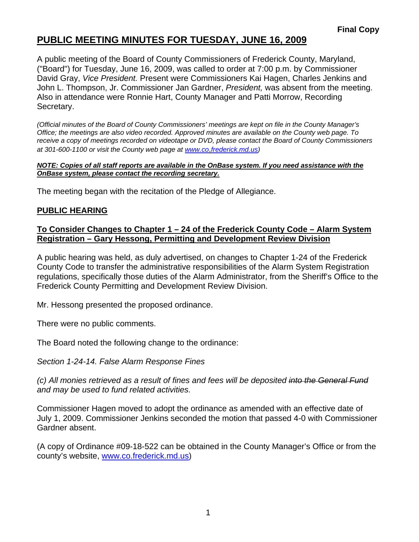## **PUBLIC MEETING MINUTES FOR TUESDAY, JUNE 16, 2009**

A public meeting of the Board of County Commissioners of Frederick County, Maryland, ("Board") for Tuesday, June 16, 2009, was called to order at 7:00 p.m. by Commissioner David Gray, *Vice President.* Present were Commissioners Kai Hagen, Charles Jenkins and John L. Thompson, Jr. Commissioner Jan Gardner, *President,* was absent from the meeting. Also in attendance were Ronnie Hart, County Manager and Patti Morrow, Recording Secretary.

*(Official minutes of the Board of County Commissioners' meetings are kept on file in the County Manager's Office; the meetings are also video recorded. Approved minutes are available on the County web page. To receive a copy of meetings recorded on videotape or DVD, please contact the Board of County Commissioners at 301-600-1100 or visit the County web page at [www.co](http://www.co/)*.*frederick.md.us)* 

#### *NOTE: Copies of all staff reports are available in the OnBase system. If you need assistance with the OnBase system, please contact the recording secretary.*

The meeting began with the recitation of the Pledge of Allegiance.

#### **PUBLIC HEARING**

#### **To Consider Changes to Chapter 1 – 24 of the Frederick County Code – Alarm System Registration – Gary Hessong, Permitting and Development Review Division**

A public hearing was held, as duly advertised, on changes to Chapter 1-24 of the Frederick County Code to transfer the administrative responsibilities of the Alarm System Registration regulations, specifically those duties of the Alarm Administrator, from the Sheriff's Office to the Frederick County Permitting and Development Review Division.

Mr. Hessong presented the proposed ordinance.

There were no public comments.

The Board noted the following change to the ordinance:

*Section 1-24-14. False Alarm Response Fines* 

*(c) All monies retrieved as a result of fines and fees will be deposited into the General Fund and may be used to fund related activities.* 

Commissioner Hagen moved to adopt the ordinance as amended with an effective date of July 1, 2009. Commissioner Jenkins seconded the motion that passed 4-0 with Commissioner Gardner absent.

(A copy of Ordinance #09-18-522 can be obtained in the County Manager's Office or from the county's website, www.co.frederick.md.us)